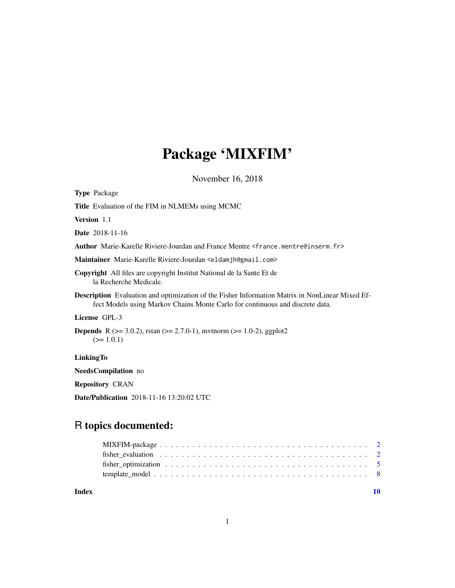# Package 'MIXFIM'

November 16, 2018

| <b>Type Package</b>                                                                                                                                                                     |
|-----------------------------------------------------------------------------------------------------------------------------------------------------------------------------------------|
| Title Evaluation of the FIM in NLMEMs using MCMC                                                                                                                                        |
| <b>Version</b> 1.1                                                                                                                                                                      |
| <b>Date</b> 2018-11-16                                                                                                                                                                  |
| Author Marie-Karelle Riviere-Jourdan and France Mentre <france.mentre@inserm.fr></france.mentre@inserm.fr>                                                                              |
| Maintainer Marie-Karelle Riviere-Jourdan <eldamjh@gmail.com></eldamjh@gmail.com>                                                                                                        |
| <b>Copyright</b> All files are copyright Institut National de la Sante Et de<br>la Recherche Medicale.                                                                                  |
| <b>Description</b> Evaluation and optimization of the Fisher Information Matrix in NonLinear Mixed Ef-<br>fect Models using Markov Chains Monte Carlo for continuous and discrete data. |
| License GPL-3                                                                                                                                                                           |
| <b>Depends</b> R ( $>$ = 3.0.2), rstan ( $>$ = 2.7.0-1), mythorm ( $>$ = 1.0-2), ggplot2<br>$(>= 1.0.1)$                                                                                |
| <b>LinkingTo</b>                                                                                                                                                                        |
| <b>NeedsCompilation</b> no                                                                                                                                                              |

Repository CRAN

Date/Publication 2018-11-16 13:20:02 UTC

# R topics documented:

| fisher evaluation contains the contract of the contract of the contract of the contract of the contract of the contract of the contract of the contract of the contract of the contract of the contract of the contract of the |  |
|--------------------------------------------------------------------------------------------------------------------------------------------------------------------------------------------------------------------------------|--|
|                                                                                                                                                                                                                                |  |
|                                                                                                                                                                                                                                |  |
|                                                                                                                                                                                                                                |  |

 $\blacksquare$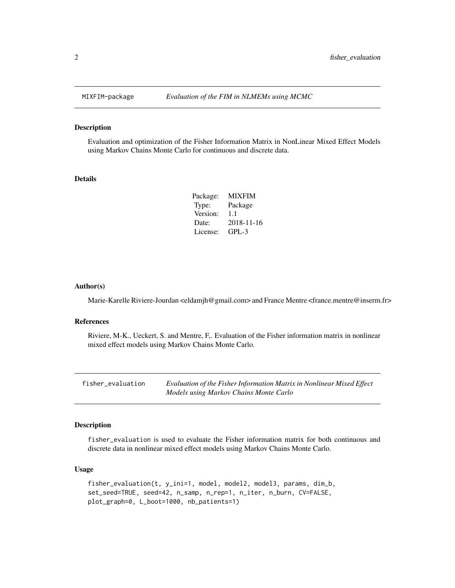#### Description

Evaluation and optimization of the Fisher Information Matrix in NonLinear Mixed Effect Models using Markov Chains Monte Carlo for continuous and discrete data.

#### Details

| <b>MIXFIM</b> |
|---------------|
| Package       |
| 1.1           |
| 2018-11-16    |
| $GPI - 3$     |
|               |

#### Author(s)

Marie-Karelle Riviere-Jourdan <eldamjh@gmail.com> and France Mentre <france.mentre@inserm.fr>

#### References

Riviere, M-K., Ueckert, S. and Mentre, F,. Evaluation of the Fisher information matrix in nonlinear mixed effect models using Markov Chains Monte Carlo.

| fisher_evaluation | Evaluation of the Fisher Information Matrix in Nonlinear Mixed Effect |
|-------------------|-----------------------------------------------------------------------|
|                   | Models using Markov Chains Monte Carlo                                |

#### Description

fisher\_evaluation is used to evaluate the Fisher information matrix for both continuous and discrete data in nonlinear mixed effect models using Markov Chains Monte Carlo.

### Usage

```
fisher_evaluation(t, y_ini=1, model, model2, model3, params, dim_b,
set_seed=TRUE, seed=42, n_samp, n_rep=1, n_iter, n_burn, CV=FALSE,
plot_graph=0, L_boot=1000, nb_patients=1)
```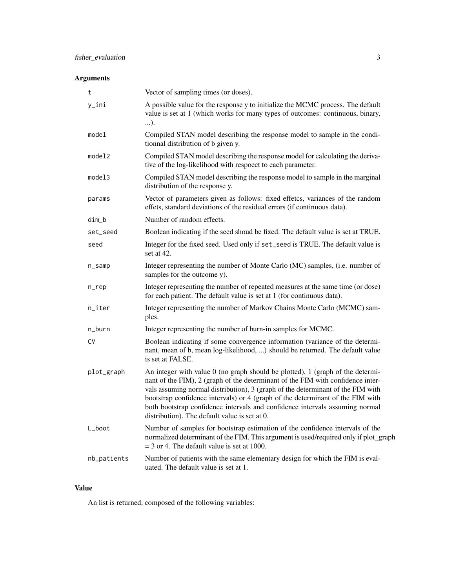# Arguments

| t           | Vector of sampling times (or doses).                                                                                                                                                                                                                                                                                                                                                                                                                                    |
|-------------|-------------------------------------------------------------------------------------------------------------------------------------------------------------------------------------------------------------------------------------------------------------------------------------------------------------------------------------------------------------------------------------------------------------------------------------------------------------------------|
| y_ini       | A possible value for the response y to initialize the MCMC process. The default<br>value is set at 1 (which works for many types of outcomes: continuous, binary,<br>).                                                                                                                                                                                                                                                                                                 |
| model       | Compiled STAN model describing the response model to sample in the condi-<br>tionnal distribution of b given y.                                                                                                                                                                                                                                                                                                                                                         |
| model2      | Compiled STAN model describing the response model for calculating the deriva-<br>tive of the log-likelihood with respoect to each parameter.                                                                                                                                                                                                                                                                                                                            |
| model3      | Compiled STAN model describing the response model to sample in the marginal<br>distribution of the response y.                                                                                                                                                                                                                                                                                                                                                          |
| params      | Vector of parameters given as follows: fixed effetcs, variances of the random<br>effets, standard deviations of the residual errors (if continuous data).                                                                                                                                                                                                                                                                                                               |
| dim_b       | Number of random effects.                                                                                                                                                                                                                                                                                                                                                                                                                                               |
| set_seed    | Boolean indicating if the seed shoud be fixed. The default value is set at TRUE.                                                                                                                                                                                                                                                                                                                                                                                        |
| seed        | Integer for the fixed seed. Used only if set_seed is TRUE. The default value is<br>set at 42.                                                                                                                                                                                                                                                                                                                                                                           |
| n_samp      | Integer representing the number of Monte Carlo (MC) samples, (i.e. number of<br>samples for the outcome y).                                                                                                                                                                                                                                                                                                                                                             |
| n_rep       | Integer representing the number of repeated measures at the same time (or dose)<br>for each patient. The default value is set at 1 (for continuous data).                                                                                                                                                                                                                                                                                                               |
| n_iter      | Integer representing the number of Markov Chains Monte Carlo (MCMC) sam-<br>ples.                                                                                                                                                                                                                                                                                                                                                                                       |
| n_burn      | Integer representing the number of burn-in samples for MCMC.                                                                                                                                                                                                                                                                                                                                                                                                            |
| C٧          | Boolean indicating if some convergence information (variance of the determi-<br>nant, mean of b, mean log-likelihood, ) should be returned. The default value<br>is set at FALSE.                                                                                                                                                                                                                                                                                       |
| plot_graph  | An integer with value 0 (no graph should be plotted), 1 (graph of the determi-<br>nant of the FIM), 2 (graph of the determinant of the FIM with confidence inter-<br>vals assuming normal distribution), 3 (graph of the determinant of the FIM with<br>bootstrap confidence intervals) or 4 (graph of the determinant of the FIM with<br>both bootstrap confidence intervals and confidence intervals assuming normal<br>distribution). The default value is set at 0. |
| L_boot      | Number of samples for bootstrap estimation of the confidence intervals of the<br>normalized determinant of the FIM. This argument is used/required only if plot_graph<br>$=$ 3 or 4. The default value is set at 1000.                                                                                                                                                                                                                                                  |
| nb_patients | Number of patients with the same elementary design for which the FIM is eval-<br>uated. The default value is set at 1.                                                                                                                                                                                                                                                                                                                                                  |

#### Value

An list is returned, composed of the following variables: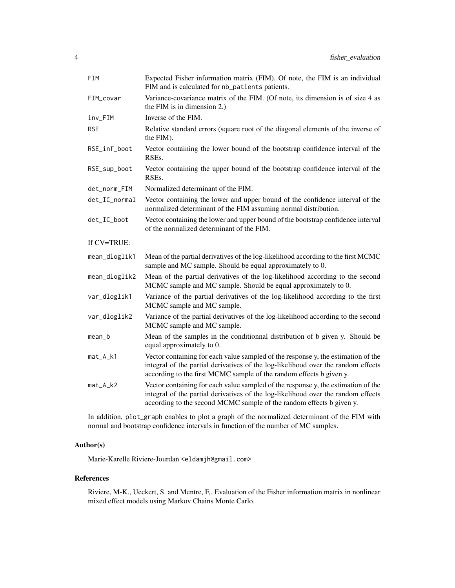| FIM           | Expected Fisher information matrix (FIM). Of note, the FIM is an individual<br>FIM and is calculated for nb_patients patients.                                                                                                                 |
|---------------|------------------------------------------------------------------------------------------------------------------------------------------------------------------------------------------------------------------------------------------------|
| FIM_covar     | Variance-covariance matrix of the FIM. (Of note, its dimension is of size 4 as<br>the FIM is in dimension 2.)                                                                                                                                  |
| inv_FIM       | Inverse of the FIM.                                                                                                                                                                                                                            |
| <b>RSE</b>    | Relative standard errors (square root of the diagonal elements of the inverse of<br>the FIM).                                                                                                                                                  |
| RSE_inf_boot  | Vector containing the lower bound of the bootstrap confidence interval of the<br>RSE <sub>s</sub> .                                                                                                                                            |
| RSE_sup_boot  | Vector containing the upper bound of the bootstrap confidence interval of the<br>RSE <sub>s</sub> .                                                                                                                                            |
| det_norm_FIM  | Normalized determinant of the FIM.                                                                                                                                                                                                             |
| det_IC_normal | Vector containing the lower and upper bound of the confidence interval of the<br>normalized determinant of the FIM assuming normal distribution.                                                                                               |
| det_IC_boot   | Vector containing the lower and upper bound of the bootstrap confidence interval<br>of the normalized determinant of the FIM.                                                                                                                  |
| If CV=TRUE:   |                                                                                                                                                                                                                                                |
| mean_dloglik1 | Mean of the partial derivatives of the log-likelihood according to the first MCMC<br>sample and MC sample. Should be equal approximately to 0.                                                                                                 |
| mean_dloglik2 | Mean of the partial derivatives of the log-likelihood according to the second<br>MCMC sample and MC sample. Should be equal approximately to 0.                                                                                                |
| var_dloglik1  | Variance of the partial derivatives of the log-likelihood according to the first<br>MCMC sample and MC sample.                                                                                                                                 |
| var_dloglik2  | Variance of the partial derivatives of the log-likelihood according to the second<br>MCMC sample and MC sample.                                                                                                                                |
| mean_b        | Mean of the samples in the conditionnal distribution of b given y. Should be<br>equal approximately to 0.                                                                                                                                      |
| mat_A_k1      | Vector containing for each value sampled of the response y, the estimation of the<br>integral of the partial derivatives of the log-likelihood over the random effects<br>according to the first MCMC sample of the random effects b given y.  |
| mat_A_k2      | Vector containing for each value sampled of the response y, the estimation of the<br>integral of the partial derivatives of the log-likelihood over the random effects<br>according to the second MCMC sample of the random effects b given y. |

In addition, plot\_graph enables to plot a graph of the normalized determinant of the FIM with normal and bootstrap confidence intervals in function of the number of MC samples.

#### Author(s)

Marie-Karelle Riviere-Jourdan <eldamjh@gmail.com>

#### References

Riviere, M-K., Ueckert, S. and Mentre, F,. Evaluation of the Fisher information matrix in nonlinear mixed effect models using Markov Chains Monte Carlo.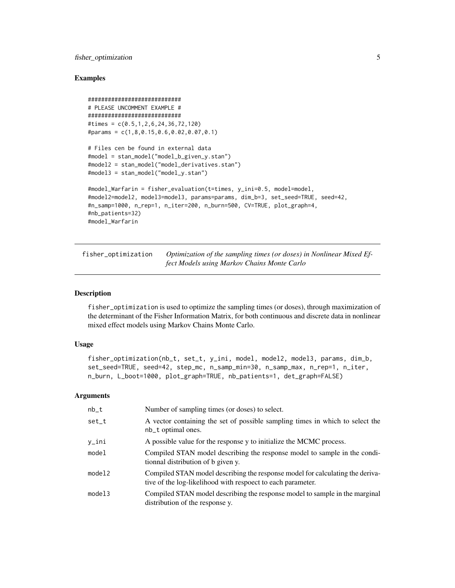#### <span id="page-4-0"></span>fisher\_optimization 5

#### Examples

```
############################
# PLEASE UNCOMMENT EXAMPLE #
############################
#times = c(0.5,1,2,6,24,36,72,120)
#params = c(1,8,0.15,0.6,0.02,0.07,0.1)
# Files cen be found in external data
#model = stan_model("model_b_given_y.stan")
#model2 = stan_model("model_derivatives.stan")
#model3 = stan_model("model_y.stan")
#model_Warfarin = fisher_evaluation(t=times, y_ini=0.5, model=model,
#model2=model2, model3=model3, params=params, dim_b=3, set_seed=TRUE, seed=42,
#n_samp=1000, n_rep=1, n_iter=200, n_burn=500, CV=TRUE, plot_graph=4,
#nb_patients=32)
#model_Warfarin
```
fisher\_optimization *Optimization of the sampling times (or doses) in Nonlinear Mixed Effect Models using Markov Chains Monte Carlo*

#### **Description**

fisher\_optimization is used to optimize the sampling times (or doses), through maximization of the determinant of the Fisher Information Matrix, for both continuous and discrete data in nonlinear mixed effect models using Markov Chains Monte Carlo.

#### Usage

```
fisher_optimization(nb_t, set_t, y_ini, model, model2, model3, params, dim_b,
set_seed=TRUE, seed=42, step_mc, n_samp_min=30, n_samp_max, n_rep=1, n_iter,
n_burn, L_boot=1000, plot_graph=TRUE, nb_patients=1, det_graph=FALSE)
```
#### Arguments

| $nb_t$ | Number of sampling times (or doses) to select.                                                                                               |
|--------|----------------------------------------------------------------------------------------------------------------------------------------------|
| set_t  | A vector containing the set of possible sampling times in which to select the<br>nb_t optimal ones.                                          |
| y_ini  | A possible value for the response y to initialize the MCMC process.                                                                          |
| model  | Compiled STAN model describing the response model to sample in the condi-<br>tionnal distribution of b given y.                              |
| model2 | Compiled STAN model describing the response model for calculating the deriva-<br>tive of the log-likelihood with respoect to each parameter. |
| model3 | Compiled STAN model describing the response model to sample in the marginal<br>distribution of the response y.                               |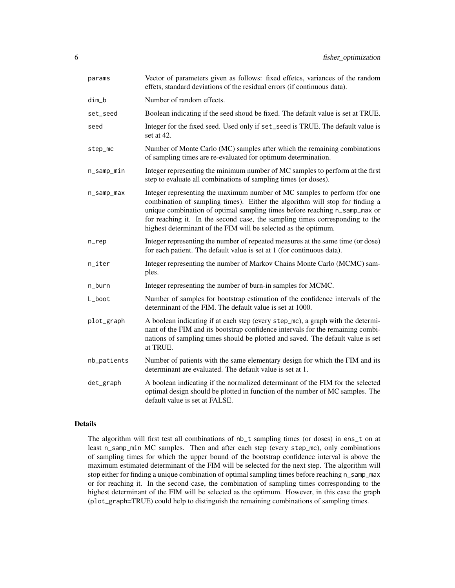| params      | Vector of parameters given as follows: fixed effetcs, variances of the random<br>effets, standard deviations of the residual errors (if continuous data).                                                                                                                                                                                                                                  |
|-------------|--------------------------------------------------------------------------------------------------------------------------------------------------------------------------------------------------------------------------------------------------------------------------------------------------------------------------------------------------------------------------------------------|
| dim_b       | Number of random effects.                                                                                                                                                                                                                                                                                                                                                                  |
| set_seed    | Boolean indicating if the seed shoud be fixed. The default value is set at TRUE.                                                                                                                                                                                                                                                                                                           |
| seed        | Integer for the fixed seed. Used only if set_seed is TRUE. The default value is<br>set at 42.                                                                                                                                                                                                                                                                                              |
| step_mc     | Number of Monte Carlo (MC) samples after which the remaining combinations<br>of sampling times are re-evaluated for optimum determination.                                                                                                                                                                                                                                                 |
| n_samp_min  | Integer representing the minimum number of MC samples to perform at the first<br>step to evaluate all combinations of sampling times (or doses).                                                                                                                                                                                                                                           |
| n_samp_max  | Integer representing the maximum number of MC samples to perform (for one<br>combination of sampling times). Either the algorithm will stop for finding a<br>unique combination of optimal sampling times before reaching n_samp_max or<br>for reaching it. In the second case, the sampling times corresponding to the<br>highest determinant of the FIM will be selected as the optimum. |
| n_rep       | Integer representing the number of repeated measures at the same time (or dose)<br>for each patient. The default value is set at 1 (for continuous data).                                                                                                                                                                                                                                  |
| n_iter      | Integer representing the number of Markov Chains Monte Carlo (MCMC) sam-<br>ples.                                                                                                                                                                                                                                                                                                          |
| n_burn      | Integer representing the number of burn-in samples for MCMC.                                                                                                                                                                                                                                                                                                                               |
| L_boot      | Number of samples for bootstrap estimation of the confidence intervals of the<br>determinant of the FIM. The default value is set at 1000.                                                                                                                                                                                                                                                 |
| plot_graph  | A boolean indicating if at each step (every step_mc), a graph with the determi-<br>nant of the FIM and its bootstrap confidence intervals for the remaining combi-<br>nations of sampling times should be plotted and saved. The default value is set<br>at TRUE.                                                                                                                          |
| nb_patients | Number of patients with the same elementary design for which the FIM and its<br>determinant are evaluated. The default value is set at 1.                                                                                                                                                                                                                                                  |
| det_graph   | A boolean indicating if the normalized determinant of the FIM for the selected<br>optimal design should be plotted in function of the number of MC samples. The<br>default value is set at FALSE.                                                                                                                                                                                          |

#### Details

The algorithm will first test all combinations of nb\_t sampling times (or doses) in ens\_t on at least n\_samp\_min MC samples. Then and after each step (every step\_mc), only combinations of sampling times for which the upper bound of the bootstrap confidence interval is above the maximum estimated determinant of the FIM will be selected for the next step. The algorithm will stop either for finding a unique combination of optimal sampling times before reaching n\_samp\_max or for reaching it. In the second case, the combination of sampling times corresponding to the highest determinant of the FIM will be selected as the optimum. However, in this case the graph (plot\_graph=TRUE) could help to distinguish the remaining combinations of sampling times.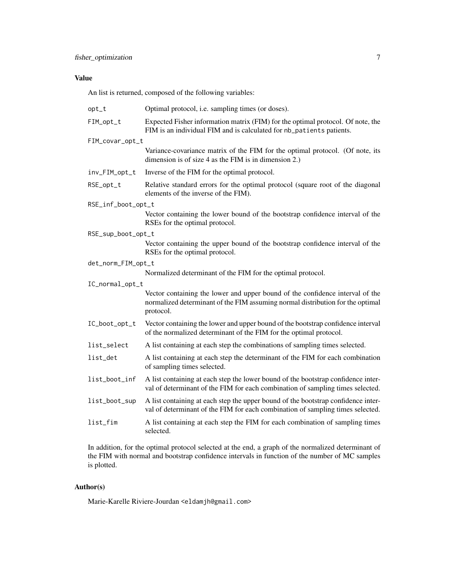### Value

An list is returned, composed of the following variables:

| $opt_t$            | Optimal protocol, i.e. sampling times (or doses).                                                                                                                            |
|--------------------|------------------------------------------------------------------------------------------------------------------------------------------------------------------------------|
| FIM_opt_t          | Expected Fisher information matrix (FIM) for the optimal protocol. Of note, the<br>FIM is an individual FIM and is calculated for nb_patients patients.                      |
| FIM_covar_opt_t    |                                                                                                                                                                              |
|                    | Variance-covariance matrix of the FIM for the optimal protocol. (Of note, its<br>dimension is of size 4 as the FIM is in dimension 2.)                                       |
| inv_FIM_opt_t      | Inverse of the FIM for the optimal protocol.                                                                                                                                 |
| RSE_opt_t          | Relative standard errors for the optimal protocol (square root of the diagonal<br>elements of the inverse of the FIM).                                                       |
| RSE_inf_boot_opt_t |                                                                                                                                                                              |
|                    | Vector containing the lower bound of the bootstrap confidence interval of the<br>RSEs for the optimal protocol.                                                              |
| RSE_sup_boot_opt_t |                                                                                                                                                                              |
|                    | Vector containing the upper bound of the bootstrap confidence interval of the<br>RSEs for the optimal protocol.                                                              |
| det_norm_FIM_opt_t |                                                                                                                                                                              |
|                    | Normalized determinant of the FIM for the optimal protocol.                                                                                                                  |
| IC_normal_opt_t    |                                                                                                                                                                              |
|                    | Vector containing the lower and upper bound of the confidence interval of the<br>normalized determinant of the FIM assuming normal distribution for the optimal<br>protocol. |
| IC_boot_opt_t      | Vector containing the lower and upper bound of the bootstrap confidence interval<br>of the normalized determinant of the FIM for the optimal protocol.                       |
| list_select        | A list containing at each step the combinations of sampling times selected.                                                                                                  |
| list_det           | A list containing at each step the determinant of the FIM for each combination<br>of sampling times selected.                                                                |
| list_boot_inf      | A list containing at each step the lower bound of the bootstrap confidence inter-<br>val of determinant of the FIM for each combination of sampling times selected.          |
| list_boot_sup      | A list containing at each step the upper bound of the bootstrap confidence inter-<br>val of determinant of the FIM for each combination of sampling times selected.          |
| list_fim           | A list containing at each step the FIM for each combination of sampling times<br>selected.                                                                                   |

In addition, for the optimal protocol selected at the end, a graph of the normalized determinant of the FIM with normal and bootstrap confidence intervals in function of the number of MC samples is plotted.

## Author(s)

Marie-Karelle Riviere-Jourdan <eldamjh@gmail.com>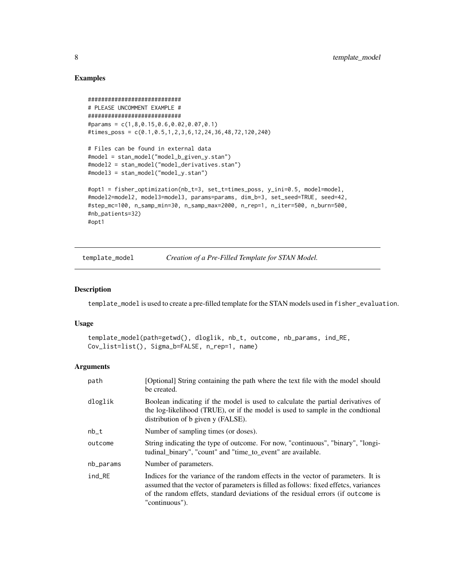#### Examples

```
############################
# PLEASE UNCOMMENT EXAMPLE #
############################
#params = c(1,8,0.15,0.6,0.02,0.07,0.1)
#times_poss = c(0.1,0.5,1,2,3,6,12,24,36,48,72,120,240)
# Files can be found in external data
#model = stan_model("model_b_given_y.stan")
#model2 = stan_model("model_derivatives.stan")
#model3 = stan_model("model_y.stan")
#opt1 = fisher_optimization(nb_t=3, set_t=times_poss, y_ini=0.5, model=model,
#model2=model2, model3=model3, params=params, dim_b=3, set_seed=TRUE, seed=42,
#step_mc=100, n_samp_min=30, n_samp_max=2000, n_rep=1, n_iter=500, n_burn=500,
#nb_patients=32)
#opt1
```
template\_model *Creation of a Pre-Filled Template for STAN Model.*

#### Description

template\_model is used to create a pre-filled template for the STAN models used in fisher\_evaluation.

#### Usage

```
template_model(path=getwd(), dloglik, nb_t, outcome, nb_params, ind_RE,
Cov_list=list(), Sigma_b=FALSE, n_rep=1, name)
```
#### Arguments

| path      | [Optional] String containing the path where the text file with the model should<br>be created.                                                                                                                                                                                 |
|-----------|--------------------------------------------------------------------------------------------------------------------------------------------------------------------------------------------------------------------------------------------------------------------------------|
| dloglik   | Boolean indicating if the model is used to calculate the partial derivatives of<br>the log-likelihood (TRUE), or if the model is used to sample in the conditional<br>distribution of b given y (FALSE).                                                                       |
| $nb_t$    | Number of sampling times (or doses).                                                                                                                                                                                                                                           |
| outcome   | String indicating the type of outcome. For now, "continuous", "binary", "longi-<br>tudinal_binary", "count" and "time_to_event" are available.                                                                                                                                 |
| nb_params | Number of parameters.                                                                                                                                                                                                                                                          |
| ind_RE    | Indices for the variance of the random effects in the vector of parameters. It is<br>assumed that the vector of parameters is filled as follows: fixed effetcs, variances<br>of the random effets, standard deviations of the residual errors (if outcome is<br>"continuous"). |

<span id="page-7-0"></span>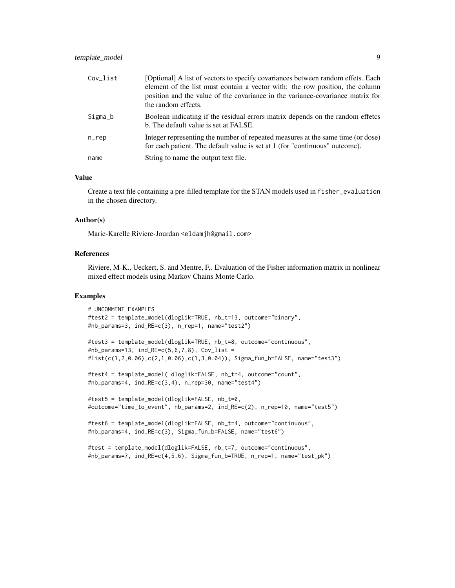| Cov_list | [Optional] A list of vectors to specify covariances between random effets. Each<br>element of the list must contain a vector with: the row position, the column<br>position and the value of the covariance in the variance-covariance matrix for<br>the random effects. |
|----------|--------------------------------------------------------------------------------------------------------------------------------------------------------------------------------------------------------------------------------------------------------------------------|
| Sigma_b  | Boolean indicating if the residual errors matrix depends on the random effetcs<br>b. The default value is set at FALSE.                                                                                                                                                  |
| $n$ _rep | Integer representing the number of repeated measures at the same time (or dose)<br>for each patient. The default value is set at 1 (for "continuous" outcome).                                                                                                           |
| name     | String to name the output text file.                                                                                                                                                                                                                                     |

#### Value

Create a text file containing a pre-filled template for the STAN models used in fisher\_evaluation in the chosen directory.

#### Author(s)

Marie-Karelle Riviere-Jourdan <eldamjh@gmail.com>

#### References

Riviere, M-K., Ueckert, S. and Mentre, F,. Evaluation of the Fisher information matrix in nonlinear mixed effect models using Markov Chains Monte Carlo.

#### Examples

```
# UNCOMMENT EXAMPLES
#test2 = template_model(dloglik=TRUE, nb_t=13, outcome="binary",
#nb_params=3, ind_RE=c(3), n_rep=1, name="test2")
#test3 = template_model(dloglik=TRUE, nb_t=8, outcome="continuous",
#nb_params=13, ind_RE=c(5,6,7,8), Cov_list =
#list(c(1,2,0.06),c(2,1,0.06),c(1,3,0.04)), Sigma_fun_b=FALSE, name="test3")
#test4 = template_model( dloglik=FALSE, nb_t=4, outcome="count",
#nb_params=4, ind_RE=c(3,4), n_rep=30, name="test4")
#test5 = template_model(dloglik=FALSE, nb_t=0,
#outcome="time_to_event", nb_params=2, ind_RE=c(2), n_rep=10, name="test5")
#test6 = template_model(dloglik=FALSE, nb_t=4, outcome="continuous",
#nb_params=4, ind_RE=c(3), Sigma_fun_b=FALSE, name="test6")
#test = template_model(dloglik=FALSE, nb_t=7, outcome="continuous",
#nb_params=7, ind_RE=c(4,5,6), Sigma_fun_b=TRUE, n_rep=1, name="test_pk")
```